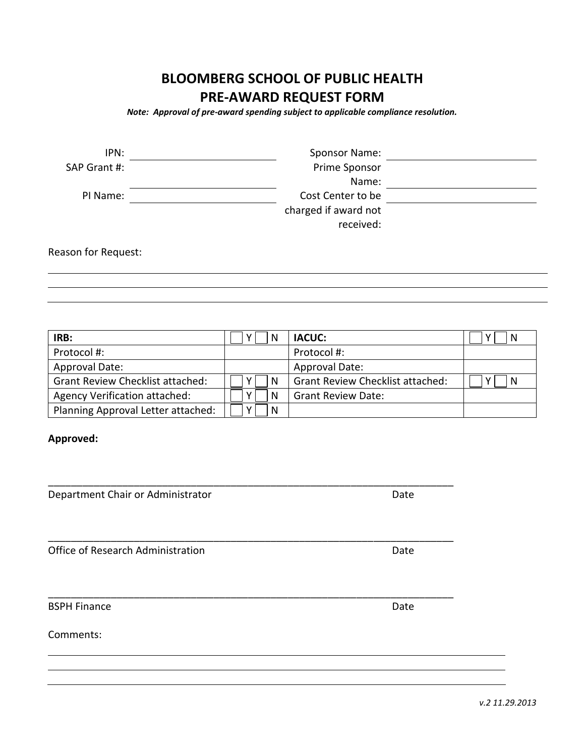# **BLOOMBERG SCHOOL OF PUBLIC HEALTH PRE-AWARD REQUEST FORM**

*Note: Approval of pre-award spending subject to applicable compliance resolution.*

| IPN:         | Sponsor Name:        |  |
|--------------|----------------------|--|
| SAP Grant #: | Prime Sponsor        |  |
|              | Name:                |  |
| PI Name:     | Cost Center to be    |  |
|              | charged if award not |  |
|              | received:            |  |

Reason for Request:

**IRB:**  $\begin{bmatrix} \begin{bmatrix} \begin{bmatrix} \end{bmatrix} Y \end{bmatrix} N & \end{bmatrix}$  **IACUC:**  $\begin{bmatrix} \begin{bmatrix} \end{bmatrix} Y \end{bmatrix} N \end{bmatrix}$ Protocol #:  $\vert$  Protocol #: Approval Date: Approval Date: Grant Review Checklist attached:  $\Box Y \Box N$  Grant Review Checklist attached:  $\Box Y \Box N$ Agency Verification attached:  $\Box Y \Box N$  Grant Review Date: Planning Approval Letter attached:  $\Box Y \Box N$ 

# **Approved:**

| Department Chair or Administrator | Date |  |
|-----------------------------------|------|--|
| Office of Research Administration | Date |  |
| <b>BSPH Finance</b>               | Date |  |
| Comments:                         |      |  |

\_\_\_\_\_\_\_\_\_\_\_\_\_\_\_\_\_\_\_\_\_\_\_\_\_\_\_\_\_\_\_\_\_\_\_\_\_\_\_\_\_\_\_\_\_\_\_\_\_\_\_\_\_\_\_\_\_\_\_\_\_\_\_\_\_\_\_\_\_\_\_